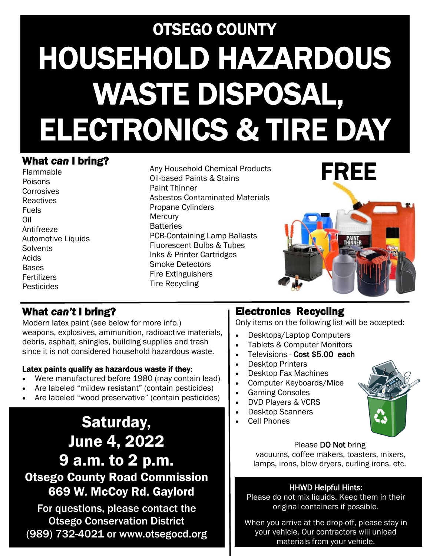# OTSEGO COUNTY HOUSEHOLD HAZARDOUS WASTE DISPOSAL, ELECTRONICS & TIRE DAY

#### What *can* I bring?

Flammable Poisons Corrosives **Reactives** Fuels Oil Antifreeze Automotive Liquids **Solvents** Acids Bases Fertilizers Pesticides

Any Household Chemical Products Oil-based Paints & Stains Paint Thinner Asbestos-Contaminated Materials Propane Cylinders **Mercury Batteries** PCB-Containing Lamp Ballasts Fluorescent Bulbs & Tubes Inks & Printer Cartridges Smoke Detectors Fire Extinguishers Tire Recycling



#### What *can't* I bring?

Modern latex paint (see below for more info.) weapons, explosives, ammunition, radioactive materials, debris, asphalt, shingles, building supplies and trash since it is not considered household hazardous waste.

#### Latex paints qualify as hazardous waste if they:

- Were manufactured before 1980 (may contain lead)
- Are labeled "mildew resistant" (contain pesticides)
- Are labeled "wood preservative" (contain pesticides)

## Saturday, June 4, 2022 9 a.m. to 2 p.m. Otsego County Road Commission 669 W. McCoy Rd. Gaylord

For questions, please contact the Otsego Conservation District (989) 732-4021 or www.otsegocd.org

#### Electronics Recycling

Only items on the following list will be accepted:

- Desktops/Laptop Computers
- Tablets & Computer Monitors
- Televisions Cost \$5.00 each
- Desktop Printers
- Desktop Fax Machines
- Computer Keyboards/Mice
- Gaming Consoles
- DVD Players & VCRS
- Desktop Scanners
- Cell Phones



Please DO Not bring vacuums, coffee makers, toasters, mixers, lamps, irons, blow dryers, curling irons, etc.

#### HHWD Helpful Hints:

Please do not mix liquids. Keep them in their original containers if possible.

When you arrive at the drop-off, please stay in your vehicle. Our contractors will unload materials from your vehicle.